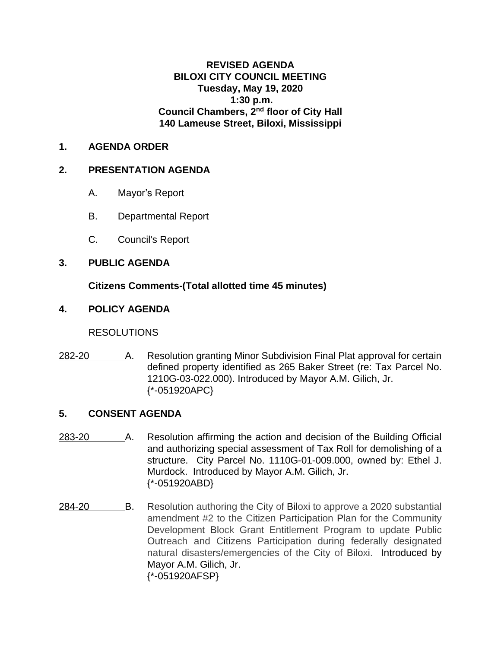## **REVISED AGENDA BILOXI CITY COUNCIL MEETING Tuesday, May 19, 2020 1:30 p.m. Council Chambers, 2nd floor of City Hall 140 Lameuse Street, Biloxi, Mississippi**

## **1. AGENDA ORDER**

## **2. PRESENTATION AGENDA**

- A. Mayor's Report
- B. Departmental Report
- C. Council's Report

# **3. PUBLIC AGENDA**

# **Citizens Comments-(Total allotted time 45 minutes)**

# **4. POLICY AGENDA**

## RESOLUTIONS

282-20 A. Resolution granting Minor Subdivision Final Plat approval for certain defined property identified as 265 Baker Street (re: Tax Parcel No. 1210G-03-022.000). Introduced by Mayor A.M. Gilich, Jr. {\*-051920APC}

## **5. CONSENT AGENDA**

- 283-20 A. Resolution affirming the action and decision of the Building Official and authorizing special assessment of Tax Roll for demolishing of a structure. City Parcel No. 1110G-01-009.000, owned by: Ethel J. Murdock. Introduced by Mayor A.M. Gilich, Jr. {\*-051920ABD}
- 284-20 B. Resolution authoring the City of Biloxi to approve a 2020 substantial amendment #2 to the Citizen Participation Plan for the Community Development Block Grant Entitlement Program to update Public Outreach and Citizens Participation during federally designated natural disasters/emergencies of the City of Biloxi. Introduced by Mayor A.M. Gilich, Jr. {\*-051920AFSP}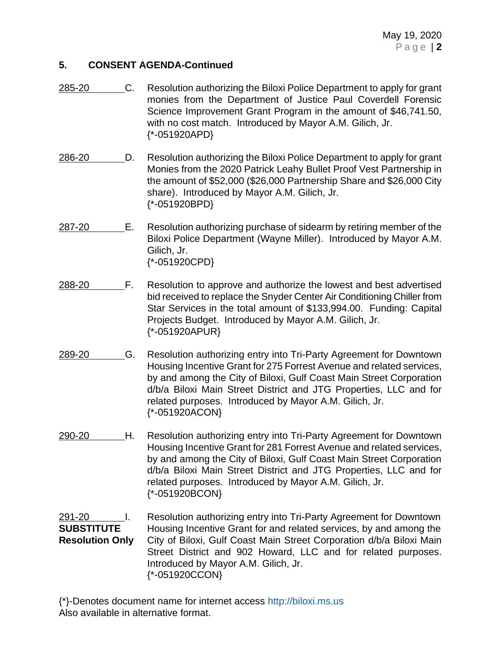- 285-20 C. Resolution authorizing the Biloxi Police Department to apply for grant monies from the Department of Justice Paul Coverdell Forensic Science Improvement Grant Program in the amount of \$46,741.50, with no cost match. Introduced by Mayor A.M. Gilich, Jr. {\*-051920APD}
- 286-20 D. Resolution authorizing the Biloxi Police Department to apply for grant Monies from the 2020 Patrick Leahy Bullet Proof Vest Partnership in the amount of \$52,000 (\$26,000 Partnership Share and \$26,000 City share). Introduced by Mayor A.M. Gilich, Jr. {\*-051920BPD}
- 287-20 **E.** Resolution authorizing purchase of sidearm by retiring member of the Biloxi Police Department (Wayne Miller). Introduced by Mayor A.M. Gilich, Jr. {\*-051920CPD}
- 288-20 F. Resolution to approve and authorize the lowest and best advertised bid received to replace the Snyder Center Air Conditioning Chiller from Star Services in the total amount of \$133,994.00. Funding: Capital Projects Budget. Introduced by Mayor A.M. Gilich, Jr. {\*-051920APUR}
- 289-20 G. Resolution authorizing entry into Tri-Party Agreement for Downtown Housing Incentive Grant for 275 Forrest Avenue and related services, by and among the City of Biloxi, Gulf Coast Main Street Corporation d/b/a Biloxi Main Street District and JTG Properties, LLC and for related purposes. Introduced by Mayor A.M. Gilich, Jr. {\*-051920ACON}
- 290-20 H. Resolution authorizing entry into Tri-Party Agreement for Downtown Housing Incentive Grant for 281 Forrest Avenue and related services, by and among the City of Biloxi, Gulf Coast Main Street Corporation d/b/a Biloxi Main Street District and JTG Properties, LLC and for related purposes. Introduced by Mayor A.M. Gilich, Jr. {\*-051920BCON}

## 291-20 **I.** Resolution authorizing entry into Tri-Party Agreement for Downtown **SUBSTITUTE** Housing Incentive Grant for and related services, by and among the **Resolution Only** City of Biloxi, Gulf Coast Main Street Corporation d/b/a Biloxi Main Street District and 902 Howard, LLC and for related purposes. Introduced by Mayor A.M. Gilich, Jr. {\*-051920CCON}

{\*}-Denotes document name for internet access [http://biloxi.ms.us](http://biloxi.ms.us/) Also available in alternative format.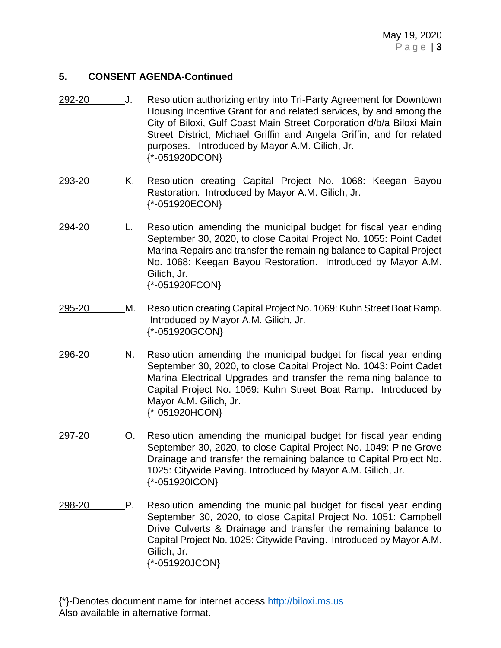- 292-20 J. Resolution authorizing entry into Tri-Party Agreement for Downtown Housing Incentive Grant for and related services, by and among the City of Biloxi, Gulf Coast Main Street Corporation d/b/a Biloxi Main Street District, Michael Griffin and Angela Griffin, and for related purposes. Introduced by Mayor A.M. Gilich, Jr. {\*-051920DCON}
- 293-20 K. Resolution creating Capital Project No. 1068: Keegan Bayou Restoration. Introduced by Mayor A.M. Gilich, Jr. {\*-051920ECON}
- 294-20 L. Resolution amending the municipal budget for fiscal year ending September 30, 2020, to close Capital Project No. 1055: Point Cadet Marina Repairs and transfer the remaining balance to Capital Project No. 1068: Keegan Bayou Restoration. Introduced by Mayor A.M. Gilich, Jr. {\*-051920FCON}
- 295-20 M. Resolution creating Capital Project No. 1069: Kuhn Street Boat Ramp. Introduced by Mayor A.M. Gilich, Jr. {\*-051920GCON}
- 296-20 N. Resolution amending the municipal budget for fiscal year ending September 30, 2020, to close Capital Project No. 1043: Point Cadet Marina Electrical Upgrades and transfer the remaining balance to Capital Project No. 1069: Kuhn Street Boat Ramp. Introduced by Mayor A.M. Gilich, Jr. {\*-051920HCON}
- 297-20 O. Resolution amending the municipal budget for fiscal year ending September 30, 2020, to close Capital Project No. 1049: Pine Grove Drainage and transfer the remaining balance to Capital Project No. 1025: Citywide Paving. Introduced by Mayor A.M. Gilich, Jr. {\*-051920ICON}
- 298-20 P. Resolution amending the municipal budget for fiscal year ending September 30, 2020, to close Capital Project No. 1051: Campbell Drive Culverts & Drainage and transfer the remaining balance to Capital Project No. 1025: Citywide Paving. Introduced by Mayor A.M. Gilich, Jr. {\*-051920JCON}
- {\*}-Denotes document name for internet access [http://biloxi.ms.us](http://biloxi.ms.us/) Also available in alternative format.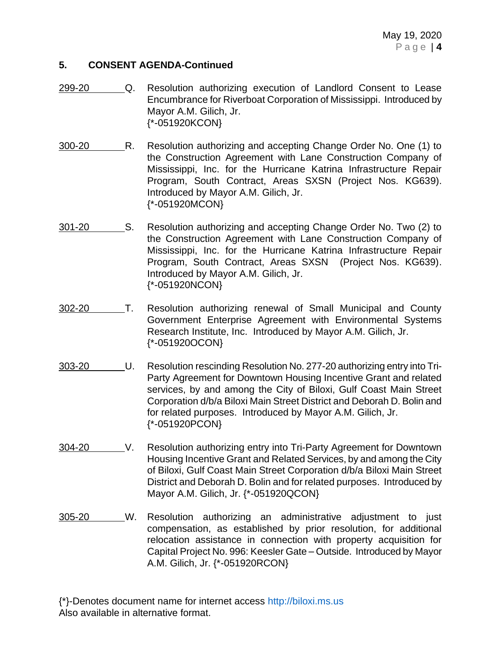- 299-20 Q. Resolution authorizing execution of Landlord Consent to Lease Encumbrance for Riverboat Corporation of Mississippi. Introduced by Mayor A.M. Gilich, Jr. {\*-051920KCON}
- 300-20 R. Resolution authorizing and accepting Change Order No. One (1) to the Construction Agreement with Lane Construction Company of Mississippi, Inc. for the Hurricane Katrina Infrastructure Repair Program, South Contract, Areas SXSN (Project Nos. KG639). Introduced by Mayor A.M. Gilich, Jr. {\*-051920MCON}
- 301-20 S. Resolution authorizing and accepting Change Order No. Two (2) to the Construction Agreement with Lane Construction Company of Mississippi, Inc. for the Hurricane Katrina Infrastructure Repair Program, South Contract, Areas SXSN (Project Nos. KG639). Introduced by Mayor A.M. Gilich, Jr. {\*-051920NCON}
- 302-20 T. Resolution authorizing renewal of Small Municipal and County Government Enterprise Agreement with Environmental Systems Research Institute, Inc. Introduced by Mayor A.M. Gilich, Jr. {\*-051920OCON}
- 303-20 U. Resolution rescinding Resolution No. 277-20 authorizing entry into Tri-Party Agreement for Downtown Housing Incentive Grant and related services, by and among the City of Biloxi, Gulf Coast Main Street Corporation d/b/a Biloxi Main Street District and Deborah D. Bolin and for related purposes. Introduced by Mayor A.M. Gilich, Jr. {\*-051920PCON}
- 304-20 V. Resolution authorizing entry into Tri-Party Agreement for Downtown Housing Incentive Grant and Related Services, by and among the City of Biloxi, Gulf Coast Main Street Corporation d/b/a Biloxi Main Street District and Deborah D. Bolin and for related purposes. Introduced by Mayor A.M. Gilich, Jr. {\*-051920QCON}
- 305-20 W. Resolution authorizing an administrative adjustment to just compensation, as established by prior resolution, for additional relocation assistance in connection with property acquisition for Capital Project No. 996: Keesler Gate – Outside. Introduced by Mayor A.M. Gilich, Jr. {\*-051920RCON}

{\*}-Denotes document name for internet access [http://biloxi.ms.us](http://biloxi.ms.us/) Also available in alternative format.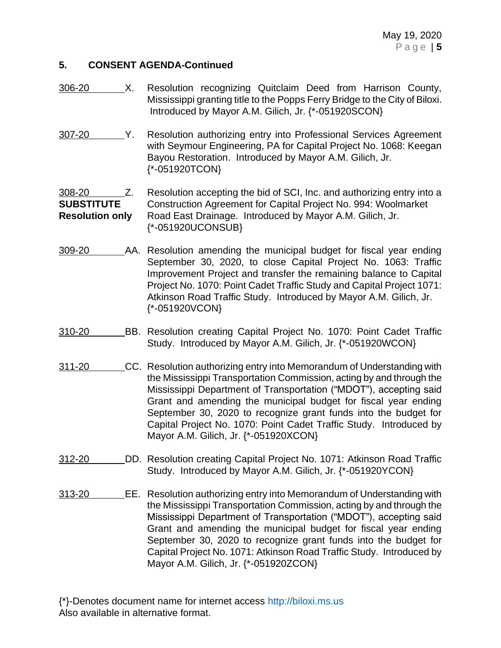- 306-20 X. Resolution recognizing Quitclaim Deed from Harrison County, Mississippi granting title to the Popps Ferry Bridge to the City of Biloxi. Introduced by Mayor A.M. Gilich, Jr. {\*-051920SCON}
- 307-20 Y. Resolution authorizing entry into Professional Services Agreement with Seymour Engineering, PA for Capital Project No. 1068: Keegan Bayou Restoration. Introduced by Mayor A.M. Gilich, Jr. {\*-051920TCON}

308-20 Z. Resolution accepting the bid of SCI, Inc. and authorizing entry into a **SUBSTITUTE** Construction Agreement for Capital Project No. 994: Woolmarket **Resolution only** Road East Drainage. Introduced by Mayor A.M. Gilich, Jr. {\*-051920UCONSUB}

- 309-20 AA. Resolution amending the municipal budget for fiscal year ending September 30, 2020, to close Capital Project No. 1063: Traffic Improvement Project and transfer the remaining balance to Capital Project No. 1070: Point Cadet Traffic Study and Capital Project 1071: Atkinson Road Traffic Study. Introduced by Mayor A.M. Gilich, Jr. {\*-051920VCON}
- 310-20 BB. Resolution creating Capital Project No. 1070: Point Cadet Traffic Study. Introduced by Mayor A.M. Gilich, Jr. {\*-051920WCON}
- 311-20 CC. Resolution authorizing entry into Memorandum of Understanding with the Mississippi Transportation Commission, acting by and through the Mississippi Department of Transportation ("MDOT"), accepting said Grant and amending the municipal budget for fiscal year ending September 30, 2020 to recognize grant funds into the budget for Capital Project No. 1070: Point Cadet Traffic Study. Introduced by Mayor A.M. Gilich, Jr. {\*-051920XCON}
- 312-20 DD. Resolution creating Capital Project No. 1071: Atkinson Road Traffic Study. Introduced by Mayor A.M. Gilich, Jr. {\*-051920YCON}
- 313-20 EE. Resolution authorizing entry into Memorandum of Understanding with the Mississippi Transportation Commission, acting by and through the Mississippi Department of Transportation ("MDOT"), accepting said Grant and amending the municipal budget for fiscal year ending September 30, 2020 to recognize grant funds into the budget for Capital Project No. 1071: Atkinson Road Traffic Study. Introduced by Mayor A.M. Gilich, Jr. {\*-051920ZCON}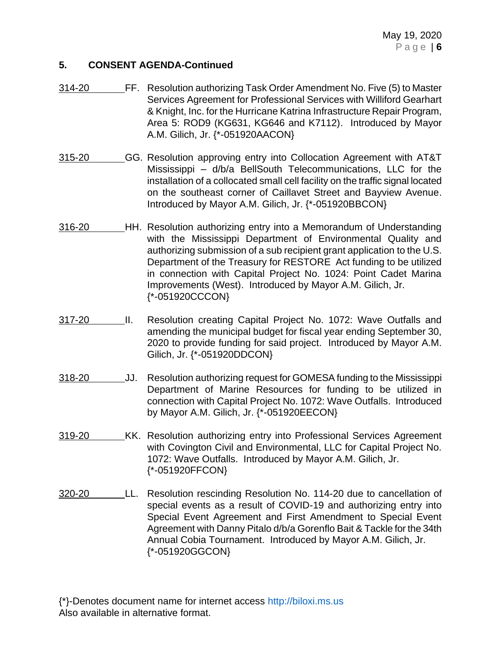- 314-20 FF. Resolution authorizing Task Order Amendment No. Five (5) to Master Services Agreement for Professional Services with Williford Gearhart & Knight, Inc. for the Hurricane Katrina Infrastructure Repair Program, Area 5: ROD9 (KG631, KG646 and K7112). Introduced by Mayor A.M. Gilich, Jr. {\*-051920AACON}
- 315-20 GG. Resolution approving entry into Collocation Agreement with AT&T Mississippi – d/b/a BellSouth Telecommunications, LLC for the installation of a collocated small cell facility on the traffic signal located on the southeast corner of Caillavet Street and Bayview Avenue. Introduced by Mayor A.M. Gilich, Jr. {\*-051920BBCON}
- 316-20 HH. Resolution authorizing entry into a Memorandum of Understanding with the Mississippi Department of Environmental Quality and authorizing submission of a sub recipient grant application to the U.S. Department of the Treasury for RESTORE Act funding to be utilized in connection with Capital Project No. 1024: Point Cadet Marina Improvements (West). Introduced by Mayor A.M. Gilich, Jr. {\*-051920CCCON}
- 317-20 II. Resolution creating Capital Project No. 1072: Wave Outfalls and amending the municipal budget for fiscal year ending September 30, 2020 to provide funding for said project. Introduced by Mayor A.M. Gilich, Jr. {\*-051920DDCON}
- 318-20 JJ. Resolution authorizing request for GOMESA funding to the Mississippi Department of Marine Resources for funding to be utilized in connection with Capital Project No. 1072: Wave Outfalls. Introduced by Mayor A.M. Gilich, Jr. {\*-051920EECON}
- 319-20 KK. Resolution authorizing entry into Professional Services Agreement with Covington Civil and Environmental, LLC for Capital Project No. 1072: Wave Outfalls. Introduced by Mayor A.M. Gilich, Jr. {\*-051920FFCON}
- 320-20 LL. Resolution rescinding Resolution No. 114-20 due to cancellation of special events as a result of COVID-19 and authorizing entry into Special Event Agreement and First Amendment to Special Event Agreement with Danny Pitalo d/b/a Gorenflo Bait & Tackle for the 34th Annual Cobia Tournament. Introduced by Mayor A.M. Gilich, Jr. {\*-051920GGCON}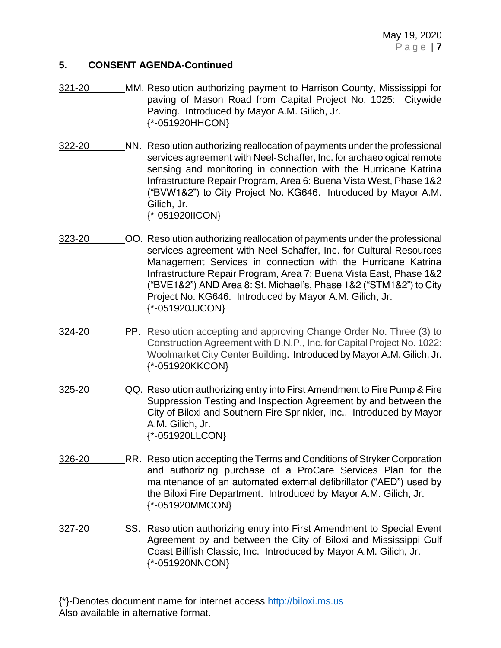- 321-20 MM. Resolution authorizing payment to Harrison County, Mississippi for paving of Mason Road from Capital Project No. 1025: Citywide Paving. Introduced by Mayor A.M. Gilich, Jr. {\*-051920HHCON}
- 322-20 NN. Resolution authorizing reallocation of payments under the professional services agreement with Neel-Schaffer, Inc. for archaeological remote sensing and monitoring in connection with the Hurricane Katrina Infrastructure Repair Program, Area 6: Buena Vista West, Phase 1&2 ("BVW1&2") to City Project No. KG646. Introduced by Mayor A.M. Gilich, Jr. {\*-051920IICON}
- 323-20 OO. Resolution authorizing reallocation of payments under the professional services agreement with Neel-Schaffer, Inc. for Cultural Resources Management Services in connection with the Hurricane Katrina Infrastructure Repair Program, Area 7: Buena Vista East, Phase 1&2 ("BVE1&2") AND Area 8: St. Michael's, Phase 1&2 ("STM1&2") to City Project No. KG646. Introduced by Mayor A.M. Gilich, Jr. {\*-051920JJCON}
- 324-20 PP. Resolution accepting and approving Change Order No. Three (3) to Construction Agreement with D.N.P., Inc. for Capital Project No. 1022: Woolmarket City Center Building. Introduced by Mayor A.M. Gilich, Jr. {\*-051920KKCON}
- 325-20 QQ. Resolution authorizing entry into First Amendment to Fire Pump & Fire Suppression Testing and Inspection Agreement by and between the City of Biloxi and Southern Fire Sprinkler, Inc.. Introduced by Mayor A.M. Gilich, Jr. {\*-051920LLCON}
- 326-20 RR. Resolution accepting the Terms and Conditions of Stryker Corporation and authorizing purchase of a ProCare Services Plan for the maintenance of an automated external defibrillator ("AED") used by the Biloxi Fire Department. Introduced by Mayor A.M. Gilich, Jr. {\*-051920MMCON}
- 327-20 SS. Resolution authorizing entry into First Amendment to Special Event Agreement by and between the City of Biloxi and Mississippi Gulf Coast Billfish Classic, Inc. Introduced by Mayor A.M. Gilich, Jr. {\*-051920NNCON}
- {\*}-Denotes document name for internet access [http://biloxi.ms.us](http://biloxi.ms.us/) Also available in alternative format.